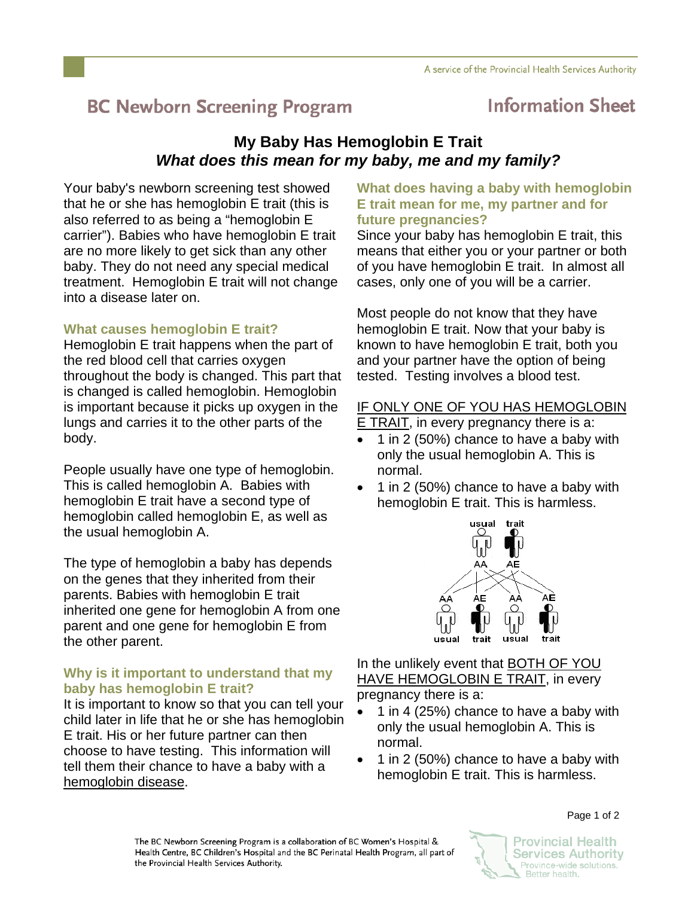# **BC Newborn Screening Program**

## **Information Sheet**

### **My Baby Has Hemoglobin E Trait**  *What does this mean for my baby, me and my family?*

Your baby's newborn screening test showed that he or she has hemoglobin E trait (this is also referred to as being a "hemoglobin E carrier"). Babies who have hemoglobin E trait are no more likely to get sick than any other baby. They do not need any special medical treatment. Hemoglobin E trait will not change into a disease later on.

### **What causes hemoglobin E trait?**

Hemoglobin E trait happens when the part of the red blood cell that carries oxygen throughout the body is changed. This part that is changed is called hemoglobin. Hemoglobin is important because it picks up oxygen in the lungs and carries it to the other parts of the body.

People usually have one type of hemoglobin. This is called hemoglobin A. Babies with hemoglobin E trait have a second type of hemoglobin called hemoglobin E, as well as the usual hemoglobin A.

The type of hemoglobin a baby has depends on the genes that they inherited from their parents. Babies with hemoglobin E trait inherited one gene for hemoglobin A from one parent and one gene for hemoglobin E from the other parent.

### **Why is it important to understand that my baby has hemoglobin E trait?**

It is important to know so that you can tell your child later in life that he or she has hemoglobin E trait. His or her future partner can then choose to have testing. This information will tell them their chance to have a baby with a hemoglobin disease.

### **What does having a baby with hemoglobin E trait mean for me, my partner and for future pregnancies?**

Since your baby has hemoglobin E trait, this means that either you or your partner or both of you have hemoglobin E trait. In almost all cases, only one of you will be a carrier.

Most people do not know that they have hemoglobin E trait. Now that your baby is known to have hemoglobin E trait, both you and your partner have the option of being tested. Testing involves a blood test.

### IF ONLY ONE OF YOU HAS HEMOGLOBIN

E TRAIT, in every pregnancy there is a:

- 1 in 2 (50%) chance to have a baby with only the usual hemoglobin A. This is normal.
- 1 in 2 (50%) chance to have a baby with hemoglobin E trait. This is harmless.



In the unlikely event that **BOTH OF YOU** HAVE HEMOGLOBIN E TRAIT, in every pregnancy there is a:

- 1 in 4 (25%) chance to have a baby with only the usual hemoglobin A. This is normal.
- 1 in 2 (50%) chance to have a baby with hemoglobin E trait. This is harmless.